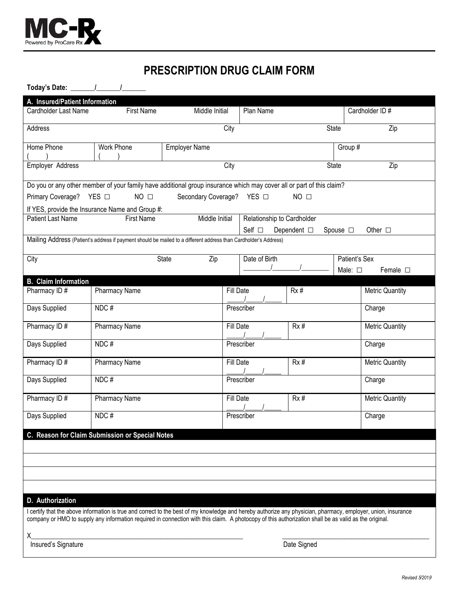

# **PRESCRIPTION DRUG CLAIM FORM**

**Today's Date: \_\_\_\_\_\_\_/\_\_\_\_\_\_\_/\_\_\_\_\_\_\_** 

| A. Insured/Patient Information<br>Cardholder Last Name                                                                                                        | Middle Initial                                                         |                      | Plan Name        |                            |     | Cardholder ID#        |                 |                        |  |
|---------------------------------------------------------------------------------------------------------------------------------------------------------------|------------------------------------------------------------------------|----------------------|------------------|----------------------------|-----|-----------------------|-----------------|------------------------|--|
| <b>First Name</b>                                                                                                                                             |                                                                        |                      |                  |                            |     |                       |                 |                        |  |
| Address                                                                                                                                                       |                                                                        |                      | City             |                            |     | State                 |                 | Zip                    |  |
| Home Phone                                                                                                                                                    |                                                                        |                      |                  |                            |     |                       |                 |                        |  |
|                                                                                                                                                               | Work Phone                                                             | <b>Employer Name</b> |                  |                            |     | Group $\overline{\#}$ |                 |                        |  |
| Employer Address                                                                                                                                              |                                                                        |                      | City             |                            |     |                       | Zip<br>State    |                        |  |
|                                                                                                                                                               |                                                                        |                      |                  |                            |     |                       |                 |                        |  |
| Do you or any other member of your family have additional group insurance which may cover all or part of this claim?                                          |                                                                        |                      |                  |                            |     |                       |                 |                        |  |
| $NO$ $\square$<br>Secondary Coverage? YES □<br>$NO$ $\square$<br>Primary Coverage? YES □                                                                      |                                                                        |                      |                  |                            |     |                       |                 |                        |  |
| If YES, provide the Insurance Name and Group #:                                                                                                               |                                                                        |                      |                  |                            |     |                       |                 |                        |  |
| Patient Last Name                                                                                                                                             | Middle Initial<br><b>First Name</b>                                    |                      |                  | Relationship to Cardholder |     |                       |                 |                        |  |
|                                                                                                                                                               | Self $\Box$<br>Dependent $\square$<br>Spouse $\Box$<br>Other $\square$ |                      |                  |                            |     |                       |                 |                        |  |
| Mailing Address (Patient's address if payment should be mailed to a different address than Cardholder's Address)                                              |                                                                        |                      |                  |                            |     |                       |                 |                        |  |
| Date of Birth<br>Patient's Sex<br>City<br>State<br>Zip                                                                                                        |                                                                        |                      |                  |                            |     |                       |                 |                        |  |
|                                                                                                                                                               |                                                                        |                      |                  |                            |     |                       | Male: $\square$ | Female $\square$       |  |
| <b>B.</b> Claim Information                                                                                                                                   |                                                                        |                      |                  |                            |     |                       |                 |                        |  |
| Pharmacy ID#                                                                                                                                                  | Pharmacy Name                                                          |                      | Fill Date        |                            | Rx# |                       |                 | <b>Metric Quantity</b> |  |
|                                                                                                                                                               |                                                                        |                      |                  |                            |     |                       |                 |                        |  |
| Days Supplied                                                                                                                                                 | NDC#                                                                   |                      |                  | Prescriber                 |     |                       | Charge          |                        |  |
| Pharmacy ID#                                                                                                                                                  | Pharmacy Name                                                          |                      |                  | Fill Date<br>Rx#           |     |                       |                 | <b>Metric Quantity</b> |  |
| Days Supplied                                                                                                                                                 | NDC#                                                                   |                      |                  | Prescriber                 |     |                       | Charge          |                        |  |
| Pharmacy ID#                                                                                                                                                  | Pharmacy Name                                                          |                      | Fill Date        |                            | Rx# |                       |                 | <b>Metric Quantity</b> |  |
| Days Supplied                                                                                                                                                 | NDC#                                                                   |                      | Prescriber       |                            |     | Charge                |                 |                        |  |
| Pharmacy ID#                                                                                                                                                  | Pharmacy Name                                                          |                      | Fill Date<br>Rx# |                            |     |                       |                 | <b>Metric Quantity</b> |  |
| Days Supplied                                                                                                                                                 | NDC#                                                                   |                      |                  | Prescriber                 |     |                       | Charge          |                        |  |
|                                                                                                                                                               | C. Reason for Claim Submission or Special Notes                        |                      |                  |                            |     |                       |                 |                        |  |
|                                                                                                                                                               |                                                                        |                      |                  |                            |     |                       |                 |                        |  |
|                                                                                                                                                               |                                                                        |                      |                  |                            |     |                       |                 |                        |  |
|                                                                                                                                                               |                                                                        |                      |                  |                            |     |                       |                 |                        |  |
|                                                                                                                                                               |                                                                        |                      |                  |                            |     |                       |                 |                        |  |
|                                                                                                                                                               |                                                                        |                      |                  |                            |     |                       |                 |                        |  |
| D. Authorization                                                                                                                                              |                                                                        |                      |                  |                            |     |                       |                 |                        |  |
| I certify that the above information is true and correct to the best of my knowledge and hereby authorize any physician, pharmacy, employer, union, insurance |                                                                        |                      |                  |                            |     |                       |                 |                        |  |
| company or HMO to supply any information required in connection with this claim. A photocopy of this authorization shall be as valid as the original.         |                                                                        |                      |                  |                            |     |                       |                 |                        |  |
| х                                                                                                                                                             |                                                                        |                      |                  |                            |     |                       |                 |                        |  |

Insured's Signature Date Signature Date Signature